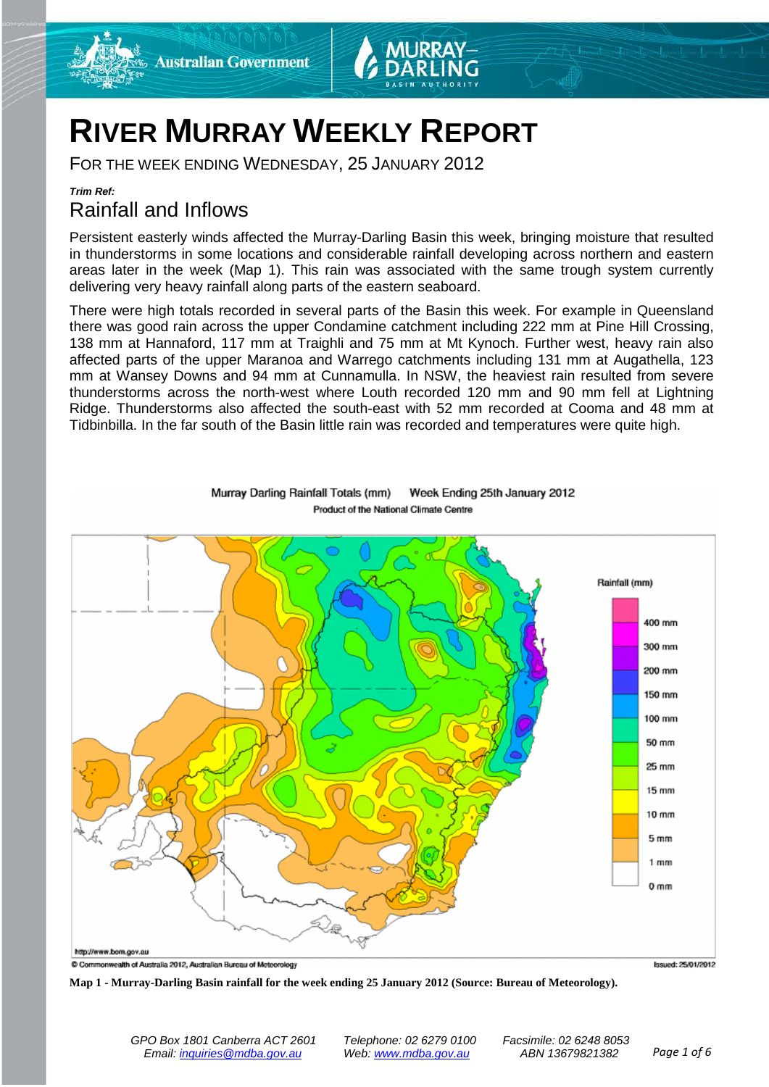





## **RIVER MURRAY WEEKLY REPORT**

FOR THE WEEK ENDING WEDNESDAY, 25 JANUARY 2012

#### *Trim Ref:*

## Rainfall and Inflows

Persistent easterly winds affected the Murray-Darling Basin this week, bringing moisture that resulted in thunderstorms in some locations and considerable rainfall developing across northern and eastern areas later in the week (Map 1). This rain was associated with the same trough system currently delivering very heavy rainfall along parts of the eastern seaboard.

There were high totals recorded in several parts of the Basin this week. For example in Queensland there was good rain across the upper Condamine catchment including 222 mm at Pine Hill Crossing, 138 mm at Hannaford, 117 mm at Traighli and 75 mm at Mt Kynoch. Further west, heavy rain also affected parts of the upper Maranoa and Warrego catchments including 131 mm at Augathella, 123 mm at Wansey Downs and 94 mm at Cunnamulla. In NSW, the heaviest rain resulted from severe thunderstorms across the north-west where Louth recorded 120 mm and 90 mm fell at Lightning Ridge. Thunderstorms also affected the south-east with 52 mm recorded at Cooma and 48 mm at Tidbinbilla. In the far south of the Basin little rain was recorded and temperatures were quite high.



Murray Darling Rainfall Totals (mm) Week Ending 25th January 2012 Product of the National Climate Centre

**Map 1 - Murray-Darling Basin rainfall for the week ending 25 January 2012 (Source: Bureau of Meteorology).**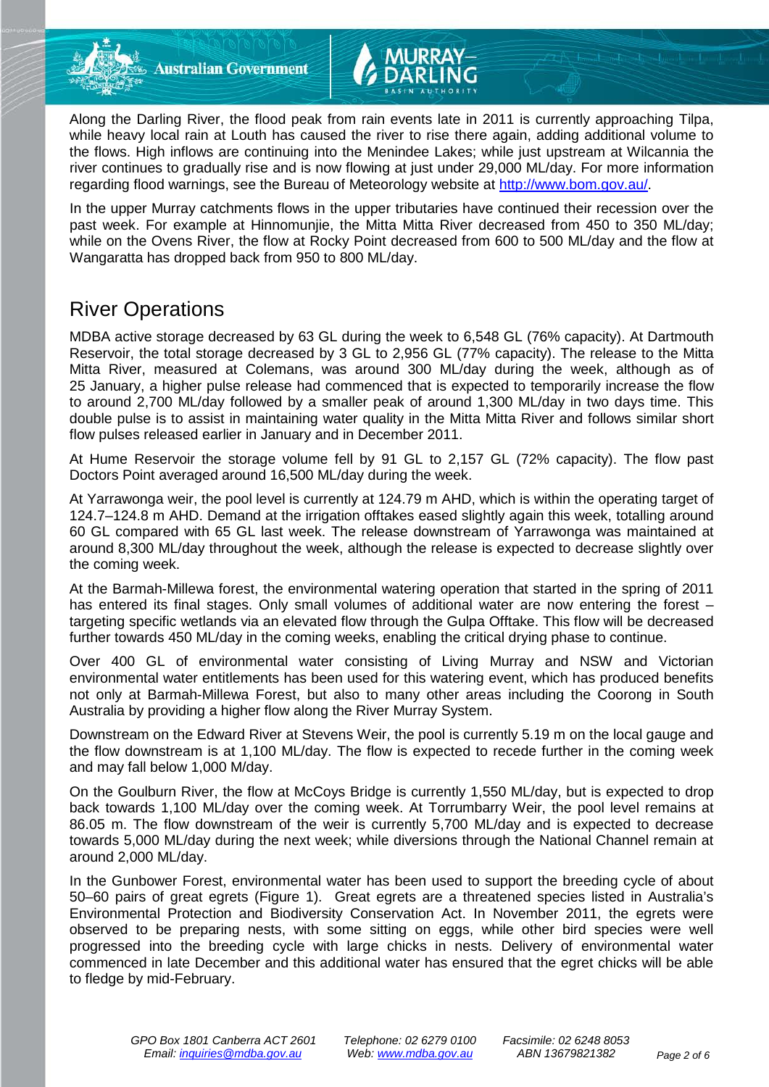Along the Darling River, the flood peak from rain events late in 2011 is currently approaching Tilpa, while heavy local rain at Louth has caused the river to rise there again, adding additional volume to the flows. High inflows are continuing into the Menindee Lakes; while just upstream at Wilcannia the river continues to gradually rise and is now flowing at just under 29,000 ML/day. For more information regarding flood warnings, see the Bureau of Meteorology website at [http://www.bom.gov.au/.](http://www.bom.gov.au/)

In the upper Murray catchments flows in the upper tributaries have continued their recession over the past week. For example at Hinnomunjie, the Mitta Mitta River decreased from 450 to 350 ML/day; while on the Ovens River, the flow at Rocky Point decreased from 600 to 500 ML/day and the flow at Wangaratta has dropped back from 950 to 800 ML/day.

## River Operations

MDBA active storage decreased by 63 GL during the week to 6,548 GL (76% capacity). At Dartmouth Reservoir, the total storage decreased by 3 GL to 2,956 GL (77% capacity). The release to the Mitta Mitta River, measured at Colemans, was around 300 ML/day during the week, although as of 25 January, a higher pulse release had commenced that is expected to temporarily increase the flow to around 2,700 ML/day followed by a smaller peak of around 1,300 ML/day in two days time. This double pulse is to assist in maintaining water quality in the Mitta Mitta River and follows similar short flow pulses released earlier in January and in December 2011.

At Hume Reservoir the storage volume fell by 91 GL to 2,157 GL (72% capacity). The flow past Doctors Point averaged around 16,500 ML/day during the week.

At Yarrawonga weir, the pool level is currently at 124.79 m AHD, which is within the operating target of 124.7–124.8 m AHD. Demand at the irrigation offtakes eased slightly again this week, totalling around 60 GL compared with 65 GL last week. The release downstream of Yarrawonga was maintained at around 8,300 ML/day throughout the week, although the release is expected to decrease slightly over the coming week.

At the Barmah-Millewa forest, the environmental watering operation that started in the spring of 2011 has entered its final stages. Only small volumes of additional water are now entering the forest – targeting specific wetlands via an elevated flow through the Gulpa Offtake. This flow will be decreased further towards 450 ML/day in the coming weeks, enabling the critical drying phase to continue.

Over 400 GL of environmental water consisting of Living Murray and NSW and Victorian environmental water entitlements has been used for this watering event, which has produced benefits not only at Barmah-Millewa Forest, but also to many other areas including the Coorong in South Australia by providing a higher flow along the River Murray System.

Downstream on the Edward River at Stevens Weir, the pool is currently 5.19 m on the local gauge and the flow downstream is at 1,100 ML/day. The flow is expected to recede further in the coming week and may fall below 1,000 M/day.

On the Goulburn River, the flow at McCoys Bridge is currently 1,550 ML/day, but is expected to drop back towards 1,100 ML/day over the coming week. At Torrumbarry Weir, the pool level remains at 86.05 m. The flow downstream of the weir is currently 5,700 ML/day and is expected to decrease towards 5,000 ML/day during the next week; while diversions through the National Channel remain at around 2,000 ML/day.

In the Gunbower Forest, environmental water has been used to support the breeding cycle of about 50–60 pairs of great egrets (Figure 1). Great egrets are a threatened species listed in Australia's Environmental Protection and Biodiversity Conservation Act. In November 2011, the egrets were observed to be preparing nests, with some sitting on eggs, while other bird species were well progressed into the breeding cycle with large chicks in nests. Delivery of environmental water commenced in late December and this additional water has ensured that the egret chicks will be able to fledge by mid-February.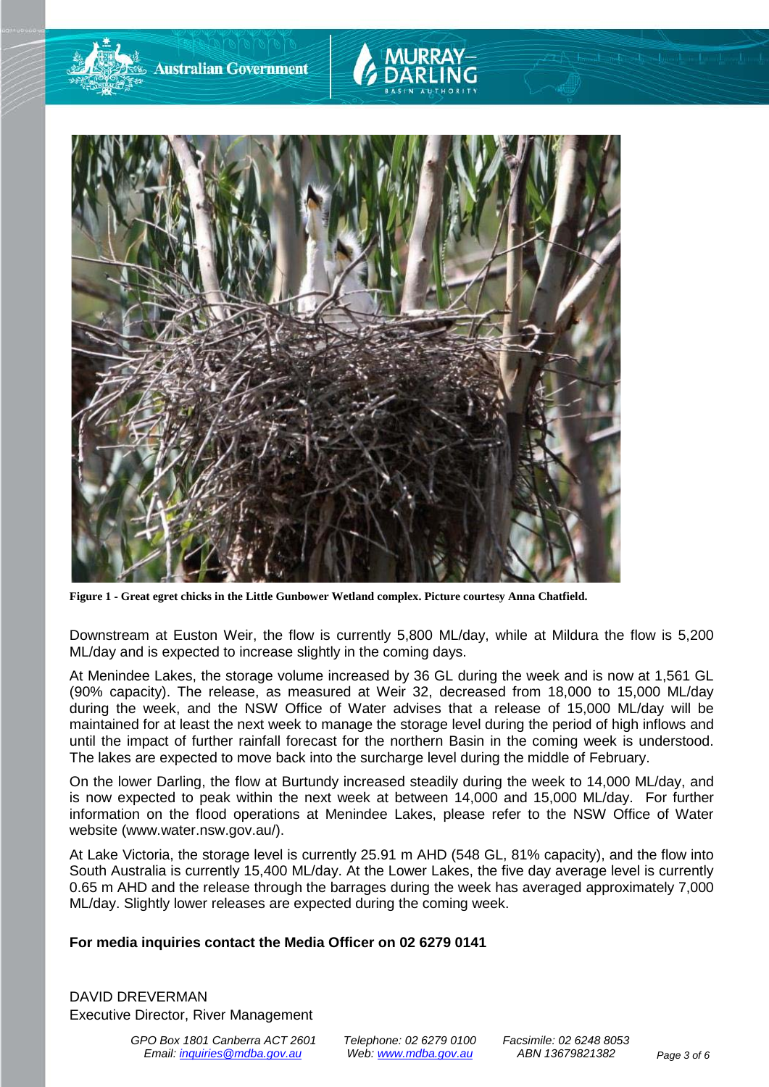

**Australian Government** 

**Figure 1 - Great egret chicks in the Little Gunbower Wetland complex. Picture courtesy Anna Chatfield.**

Downstream at Euston Weir, the flow is currently 5,800 ML/day, while at Mildura the flow is 5,200 ML/day and is expected to increase slightly in the coming days.

At Menindee Lakes, the storage volume increased by 36 GL during the week and is now at 1,561 GL (90% capacity). The release, as measured at Weir 32, decreased from 18,000 to 15,000 ML/day during the week, and the NSW Office of Water advises that a release of 15,000 ML/day will be maintained for at least the next week to manage the storage level during the period of high inflows and until the impact of further rainfall forecast for the northern Basin in the coming week is understood. The lakes are expected to move back into the surcharge level during the middle of February.

On the lower Darling, the flow at Burtundy increased steadily during the week to 14,000 ML/day, and is now expected to peak within the next week at between 14,000 and 15,000 ML/day. For further information on the flood operations at Menindee Lakes, please refer to the NSW Office of Water website (www.water.nsw.gov.au/).

At Lake Victoria, the storage level is currently 25.91 m AHD (548 GL, 81% capacity), and the flow into South Australia is currently 15,400 ML/day. At the Lower Lakes, the five day average level is currently 0.65 m AHD and the release through the barrages during the week has averaged approximately 7,000 ML/day. Slightly lower releases are expected during the coming week.

#### **For media inquiries contact the Media Officer on 02 6279 0141**

DAVID DREVERMAN Executive Director, River Management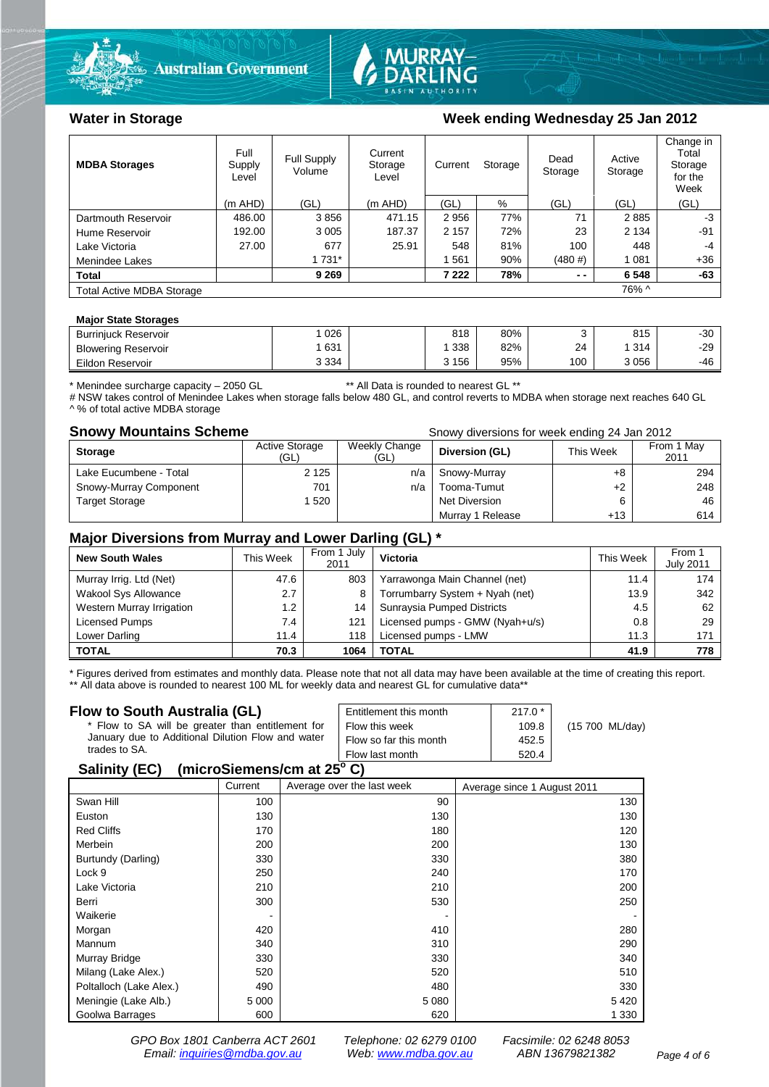



#### Water in Storage Week ending Wednesday 25 Jan 2012

| <b>MDBA Storages</b>             | Full<br>Supply<br>Level | Full Supply<br>Volume | Current<br>Storage<br>Level |         | Current<br>Storage |        | Active<br>Storage | Change in<br>Total<br>Storage<br>for the<br>Week |
|----------------------------------|-------------------------|-----------------------|-----------------------------|---------|--------------------|--------|-------------------|--------------------------------------------------|
|                                  | $(m$ AHD)               | (GL)                  | $(m$ AHD)                   | (GL)    | %                  | (GL)   | (GL)              | (GL)                                             |
| Dartmouth Reservoir              | 486.00                  | 3856                  | 471.15                      | 2956    | 77%                | 71     | 2885              | -3                                               |
| Hume Reservoir                   | 192.00                  | 3 0 0 5               | 187.37                      | 2 1 5 7 | 72%                | 23     | 2 1 3 4           | -91                                              |
| Lake Victoria                    | 27.00                   | 677                   | 25.91                       | 548     | 81%                | 100    | 448               | -4                                               |
| Menindee Lakes                   |                         | 1 731*                |                             | 561     | 90%                | (480#) | 1 0 8 1           | $+36$                                            |
| <b>Total</b>                     |                         | 9 2 6 9               |                             | 7 2 2 2 | 78%                | $ -$   | 6 5 4 8           | -63                                              |
| <b>Total Active MDBA Storage</b> |                         |                       |                             |         |                    |        | 76% ^             |                                                  |

#### **Major State Storages**

| <b>Burriniuck Reservoir</b> | 026     | 818     | 80% |     | 815  | $-30$ |
|-----------------------------|---------|---------|-----|-----|------|-------|
| <b>Blowering Reservoir</b>  | 631     | 338     | 82% | 24  | 314  | $-29$ |
| Eildon Reservoir            | 3 3 3 4 | 3 1 5 6 | 95% | 100 | 3056 | -46   |

\* Menindee surcharge capacity – 2050 GL \*\* All Data is rounded to nearest GL \*\*

# NSW takes control of Menindee Lakes when storage falls below 480 GL, and control reverts to MDBA when storage next reaches 640 GL ^ % of total active MDBA storage

**Snowy Mountains Scheme Snowy diversions for week ending 24 Jan 2012** 

| <b>Storage</b>         | <b>Active Storage</b><br>(GL) | Weekly Change<br>(GL) | Diversion (GL)   | This Week | From 1 May<br>2011 |
|------------------------|-------------------------------|-----------------------|------------------|-----------|--------------------|
| Lake Eucumbene - Total | 2 1 2 5                       | n/a                   | Snowy-Murray     | +8        | 294                |
| Snowy-Murray Component | 701                           | n/a                   | Tooma-Tumut      | $+2$      | 248                |
| <b>Target Storage</b>  | 1520                          |                       | Net Diversion    | 6         | 46                 |
|                        |                               |                       | Murray 1 Release | +13       | 614                |

#### **Major Diversions from Murray and Lower Darling (GL) \***

| <b>New South Wales</b>    | This Week | From 1 July<br>2011 | Victoria                        | <b>This Week</b> | From 1<br><b>July 2011</b> |
|---------------------------|-----------|---------------------|---------------------------------|------------------|----------------------------|
| Murray Irrig. Ltd (Net)   | 47.6      | 803                 | Yarrawonga Main Channel (net)   | 11.4             | 174                        |
| Wakool Sys Allowance      | 2.7       | 8                   | Torrumbarry System + Nyah (net) | 13.9             | 342                        |
| Western Murray Irrigation | 1.2       | 14                  | Sunraysia Pumped Districts      | 4.5              | 62                         |
| Licensed Pumps            | 7.4       | 121                 | Licensed pumps - GMW (Nyah+u/s) | 0.8              | 29                         |
| Lower Darling             | 11.4      | 118                 | Licensed pumps - LMW            | 11.3             | 171                        |
| <b>TOTAL</b>              | 70.3      | 1064                | <b>TOTAL</b>                    | 41.9             | 778                        |

\* Figures derived from estimates and monthly data. Please note that not all data may have been available at the time of creating this report. \*\* All data above is rounded to nearest 100 ML for weekly data and nearest GL for cumulative data\*\*

#### **Flow to South Australia (GL)**

| Flow to South Australia (GL)<br>* Flow to SA will be greater than entitlement for<br>January due to Additional Dilution Flow and water<br>trades to SA.                                                                                                      | Entitlement this month<br>Flow this week<br>Flow so far this month | $217.0*$<br>109.8<br>452.5 | (15 700 ML/day) |
|--------------------------------------------------------------------------------------------------------------------------------------------------------------------------------------------------------------------------------------------------------------|--------------------------------------------------------------------|----------------------------|-----------------|
| $\mu$ <sub>1</sub> $\sigma$ <sub>1</sub> $\sigma$ <sub>1</sub> $\sigma$ <sub>1</sub> $\sigma$ <sub>1</sub> $\sigma$ <sub>1</sub> $\sigma$ <sub>1</sub> $\sigma$ <sub>1</sub> $\sigma$ <sub>1</sub> $\sigma$ <sub>1</sub> $\sigma$ <sub>1</sub><br>0.11111001 | Flow last month                                                    | 520.4                      |                 |

#### **Salinity (EC) (microSiemens/cm at 25o C)**

|                         | Current | Average over the last week | Average since 1 August 2011 |
|-------------------------|---------|----------------------------|-----------------------------|
| Swan Hill               | 100     | 90                         | 130                         |
| Euston                  | 130     | 130                        | 130                         |
| <b>Red Cliffs</b>       | 170     | 180                        | 120                         |
| Merbein                 | 200     | 200                        | 130                         |
| Burtundy (Darling)      | 330     | 330                        | 380                         |
| Lock 9                  | 250     | 240                        | 170                         |
| Lake Victoria           | 210     | 210                        | 200                         |
| Berri                   | 300     | 530                        | 250                         |
| Waikerie                |         |                            |                             |
| Morgan                  | 420     | 410                        | 280                         |
| Mannum                  | 340     | 310                        | 290                         |
| Murray Bridge           | 330     | 330                        | 340                         |
| Milang (Lake Alex.)     | 520     | 520                        | 510                         |
| Poltalloch (Lake Alex.) | 490     | 480                        | 330                         |
| Meningie (Lake Alb.)    | 5 0 0 0 | 5 0 8 0                    | 5420                        |
| Goolwa Barrages         | 600     | 620                        | 1 3 3 0                     |

*GPO Box 1801 Canberra ACT 2601 Telephone: 02 6279 0100 Facsimile: 02 6248 8053 Email: [inquiries@mdba.gov.au](mailto:inquiries@mdba.gov.au) Web: [www.mdba.gov.au](http://www.mdba.gov.au/) ABN 13679821382 Page 4 of 6*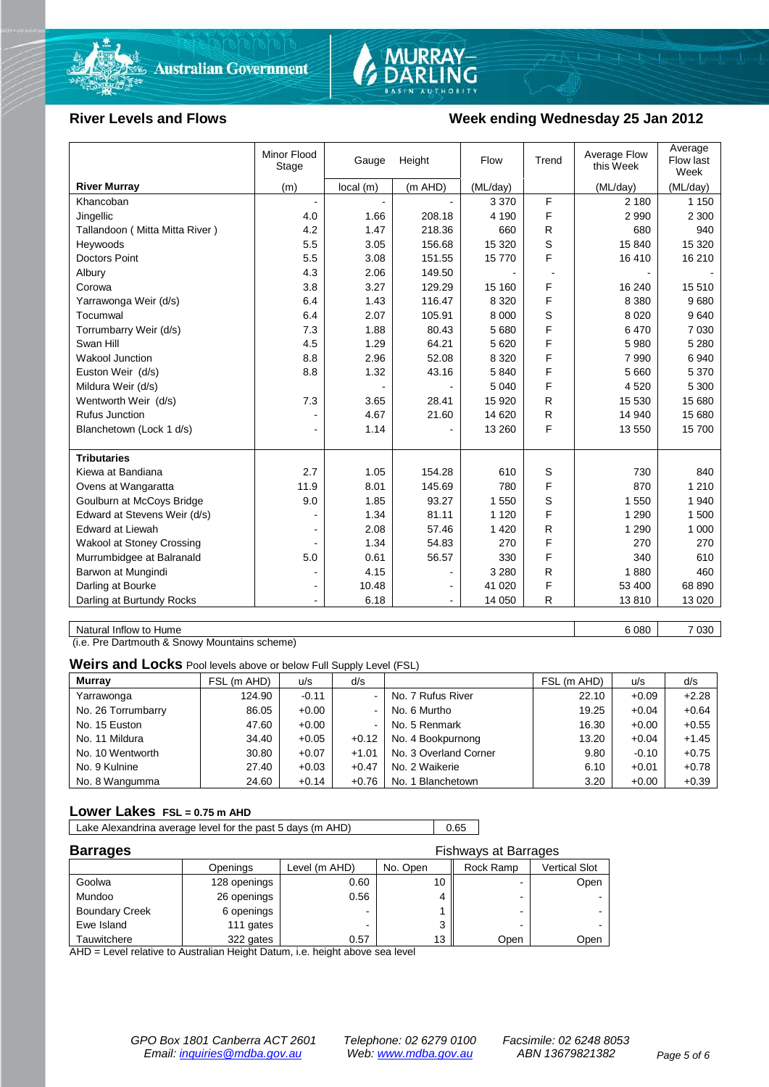

# MURRAY-<br>DARLING

#### River Levels and Flows **Week ending Wednesday 25 Jan 2012**

|                                  | Minor Flood<br>Stage | Gauge    | Height         | Flow     | Trend | Average Flow<br>this Week | Average<br>Flow last<br>Week |
|----------------------------------|----------------------|----------|----------------|----------|-------|---------------------------|------------------------------|
| <b>River Murray</b>              | (m)                  | local(m) | $(m$ AHD)      | (ML/day) |       | (ML/day)                  | (ML/day)                     |
| Khancoban                        |                      |          |                | 3 3 7 0  | F     | 2 180                     | 1 1 5 0                      |
| Jingellic                        | 4.0                  | 1.66     | 208.18         | 4 1 9 0  | F     | 2 9 9 0                   | 2 3 0 0                      |
| Tallandoon (Mitta Mitta River)   | 4.2                  | 1.47     | 218.36         | 660      | R     | 680                       | 940                          |
| Heywoods                         | 5.5                  | 3.05     | 156.68         | 15 3 20  | S     | 15 840                    | 15 3 20                      |
| <b>Doctors Point</b>             | 5.5                  | 3.08     | 151.55         | 15770    | F     | 16 410                    | 16 210                       |
| Albury                           | 4.3                  | 2.06     | 149.50         |          |       |                           |                              |
| Corowa                           | 3.8                  | 3.27     | 129.29         | 15 160   | F     | 16 240                    | 15 510                       |
| Yarrawonga Weir (d/s)            | 6.4                  | 1.43     | 116.47         | 8 3 2 0  | F     | 8 3 8 0                   | 9680                         |
| Tocumwal                         | 6.4                  | 2.07     | 105.91         | 8 0 0 0  | S     | 8 0 2 0                   | 9640                         |
| Torrumbarry Weir (d/s)           | 7.3                  | 1.88     | 80.43          | 5 6 8 0  | F     | 6470                      | 7 0 3 0                      |
| Swan Hill                        | 4.5                  | 1.29     | 64.21          | 5 6 20   | F     | 5 9 8 0                   | 5 2 8 0                      |
| Wakool Junction                  | 8.8                  | 2.96     | 52.08          | 8 3 2 0  | F     | 7 9 9 0                   | 6940                         |
| Euston Weir (d/s)                | 8.8                  | 1.32     | 43.16          | 5840     | F     | 5 6 6 0                   | 5 3 7 0                      |
| Mildura Weir (d/s)               |                      |          |                | 5 0 4 0  | F     | 4520                      | 5 300                        |
| Wentworth Weir (d/s)             | 7.3                  | 3.65     | 28.41          | 15 9 20  | R     | 15 530                    | 15 680                       |
| <b>Rufus Junction</b>            |                      | 4.67     | 21.60          | 14 6 20  | R     | 14 940                    | 15 680                       |
| Blanchetown (Lock 1 d/s)         | $\blacksquare$       | 1.14     |                | 13 260   | F     | 13 550                    | 15 700                       |
|                                  |                      |          |                |          |       |                           |                              |
| <b>Tributaries</b>               |                      |          |                |          |       |                           |                              |
| Kiewa at Bandiana                | 2.7                  | 1.05     | 154.28         | 610      | S     | 730                       | 840                          |
| Ovens at Wangaratta              | 11.9                 | 8.01     | 145.69         | 780      | F     | 870                       | 1 2 1 0                      |
| Goulburn at McCoys Bridge        | 9.0                  | 1.85     | 93.27          | 1 550    | S     | 1 550                     | 1 940                        |
| Edward at Stevens Weir (d/s)     |                      | 1.34     | 81.11          | 1 1 2 0  | F     | 1 2 9 0                   | 1 500                        |
| <b>Edward at Liewah</b>          | $\blacksquare$       | 2.08     | 57.46          | 1 4 2 0  | R     | 1 2 9 0                   | 1 0 0 0                      |
| <b>Wakool at Stoney Crossing</b> |                      | 1.34     | 54.83          | 270      | F     | 270                       | 270                          |
| Murrumbidgee at Balranald        | 5.0                  | 0.61     | 56.57          | 330      | F     | 340                       | 610                          |
| Barwon at Mungindi               | ٠                    | 4.15     |                | 3 2 8 0  | R     | 1880                      | 460                          |
| Darling at Bourke                | $\blacksquare$       | 10.48    | $\blacksquare$ | 41 0 20  | F     | 53 400                    | 68 890                       |
| Darling at Burtundy Rocks        | ٠                    | 6.18     | $\blacksquare$ | 14 050   | R     | 13810                     | 13 0 20                      |

Natural Inflow to Hume 6 080 1 2 030

(i.e. Pre Dartmouth & Snowy Mountains scheme)

**Weirs and Locks** Pool levels above or below Full Supply Level (FSL)

| <b>Murray</b>      | FSL (m AHD) | u/s     | d/s     |                       | FSL (m AHD) | u/s     | d/s     |
|--------------------|-------------|---------|---------|-----------------------|-------------|---------|---------|
| Yarrawonga         | 124.90      | $-0.11$ | $\sim$  | No. 7 Rufus River     | 22.10       | $+0.09$ | $+2.28$ |
| No. 26 Torrumbarry | 86.05       | $+0.00$ | $\sim$  | No. 6 Murtho          | 19.25       | $+0.04$ | $+0.64$ |
| No. 15 Euston      | 47.60       | $+0.00$ | $\sim$  | No. 5 Renmark         | 16.30       | $+0.00$ | $+0.55$ |
| No. 11 Mildura     | 34.40       | $+0.05$ | $+0.12$ | No. 4 Bookpurnong     | 13.20       | $+0.04$ | $+1.45$ |
| No. 10 Wentworth   | 30.80       | $+0.07$ | $+1.01$ | No. 3 Overland Corner | 9.80        | $-0.10$ | $+0.75$ |
| No. 9 Kulnine      | 27.40       | $+0.03$ | $+0.47$ | No. 2 Waikerie        | 6.10        | $+0.01$ | $+0.78$ |
| No. 8 Wangumma     | 24.60       | $+0.14$ | $+0.76$ | No. 1 Blanchetown     | 3.20        | $+0.00$ | $+0.39$ |

#### **Lower Lakes FSL = 0.75 m AHD**

Lake Alexandrina average level for the past 5 days (m AHD) 0.65

| <b>Barrages</b>       |              |               | <b>Fishways at Barrages</b> |           |               |
|-----------------------|--------------|---------------|-----------------------------|-----------|---------------|
|                       | Openings     | Level (m AHD) | No. Open                    | Rock Ramp | Vertical Slot |
| Goolwa                | 128 openings | 0.60          |                             |           | Open          |
| Mundoo                | 26 openings  | 0.56          |                             | -         |               |
| <b>Boundary Creek</b> | 6 openings   |               |                             |           |               |
| Ewe Island            | 111 gates    |               |                             |           |               |
| Tauwitchere           | 322 gates    | 0.57          | 13                          | Open      | Open          |

AHD = Level relative to Australian Height Datum, i.e. height above sea level